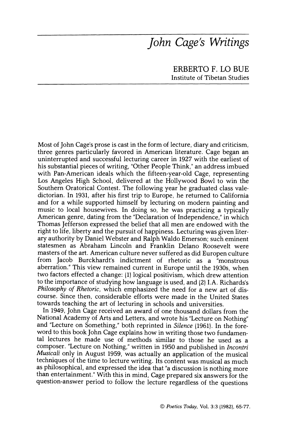## **John Cage's Writings**

**ERBERTO F. LO BUE Institute of Tibetan Studies** 

**Most of John Cage's prose is cast in the form of lecture, diary and criticism, three genres particularly favored in American literature. Cage began an uninterrupted and successful lecturing career in 1927 with the earliest of his substantial pieces of writing, "Other People Think," an address imbued with Pan-American ideals which the fifteen-year-old Cage, representing Los Angeles High School, delivered at the Hollywood Bowl to win the Southern Oratorical Contest. The following year he graduated class valedictorian. In 1931, after his first trip to Europe, he returned to California and for a while supported himself by lecturing on modern painting and music to local housewives. In doing so, he was practicing a typically American genre, dating from the "Declaration of Independence," in which Thomas Jefferson expressed the belief that all men are endowed with the right to life, liberty and the pursuit of happiness. Lecturing was given literary authority by Daniel Webster and Ralph Waldo Emerson; such eminent statesmen as Abraham Lincoln and Franklin Delano Roosevelt were masters of the art. American culture never suffered as did Europen culture from Jacob Burckhardt's indictment of rhetoric as a "monstrous aberration." This view remained current in Europe until the 1930s, when two factors effected a change: (1) logical positivism, which drew attention to the importance of studying how language is used, and (2) I.A. Richards's Philosophy of Rhetoric, which emphasized the need for a new art of discourse. Since then, considerable efforts were made in the United States towards teaching the art of lecturing in schools and universities.** 

**In 1949, John Cage received an award of one thousand dollars from the National Academy of Arts and Letters, and wrote his "Lecture on Nothing" and "Lecture on Something," both reprinted in Silence (1961). In the foreword to this book John Cage explains how in writing those two fundamental lectures he made use of methods similar to those he used as a composer. "Lecture on Nothing," written in 1950 and published in Incontri Musicali only in August 1959, was actually an application of the musical techniques of the time to lecture writing. Its content was musical as much as philosophical, and expressed the idea that "a discussion is nothing more than entertainment." With this in mind, Cage prepared six answers for the question-answer period to follow the lecture regardless of the questions**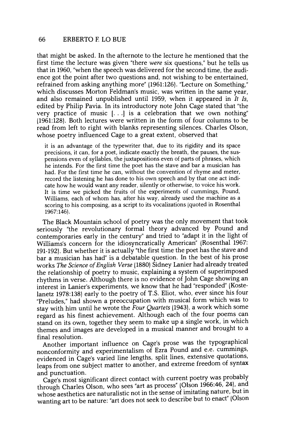**that might be asked. In the afternote to the lecture he mentioned that the first time the lecture was given "there were six questions," but he tells us that in 1960, "when the speech was delivered for the second time, the audience got the point after two questions and, not wishing to be entertained, refrained from asking anything more" (1961:126). "Lecture on Something," which discusses Morton Feldman's music, was written in the same year, and also remained unpublished until 1959, when it appeared in It Is, edited by Philip Pavia. In its introductory note John Cage stated that "the very practice of music [.. .] is a celebration that we own nothing" (1961:128). Both lectures were written in the form of four columns to be read from left to right with blanks representing silences. Charles Olson, whose poetry influenced Cage to a great extent, observed that** 

**it is an advantage of the typewriter that, due to its rigidity and its space precisions, it can, for a poet, indicate exactly the breath, the pauses, the suspensions even of syllables, the juxtapositions even of parts of phrases, which he intends. For the first time the poet has the stave and bar a musician has had. For the first time he can, without the convention of rhyme and meter, record the listening he has done to his own speech and by that one act indicate how he would want any reader, silently or otherwise, to voice his work. It is time we picked the fruits of the experiments of cummings, Pound, Williams, each of whom has, after his way, already used the machine as a scoring to his composing, as a script to its vocalizations (quoted in Rosenthal 1967:146).** 

**The Black Mountain school of poetry was the only movement that took seriously "the revolutionary formal theory advanced by Pound and contemporaries early in the century" and tried to "adapt it in the light of Williams's concern for the idiosyncratically American" (Rosenthal 1967: 191-192). But whether it is actually "the first time the poet has the stave and bar a musician has had" is a debatable question. In the best of his prose works The Science of English Verse (1880) Sidney Lanier had already treated the relationship of poetry to music, explaining a system of superimposed rhythms in verse. Although there is no evidence of John Cage showing an interest in Lanier's experiments, we know that he had "responded" (Kostelanetz 1978:138) early to the poetry of T.S. Eliot, who, ever since his four "Preludes," had shown a preoccupation with musical form which was to stay with him until he wrote the Four Quartets (1943), a work which some regard as his finest achievement. Although each of the four poems can stand on its own, together they seem to make up a single work, in which themes and images are developed in a musical manner and brought to a final resolution.** 

**Another important influence on Cage's prose was the typographical nonconformity and experimentalism of Ezra Pound and e.e. cummings, evidenced in Cage's varied line lengths, split lines, extensive quotations, leaps from one subject matter to another, and extreme freedom of syntax and punctuation.** 

**Cage's most significant direct contact with current poetry was probably through Charles Olson, who sees "art as process" (Olson 1966:46, 24), and whose aesthetics are naturalistic not in the sense of imitating nature, but in wanting art to be nature: "art does not seek to describe but to enact" (Olson**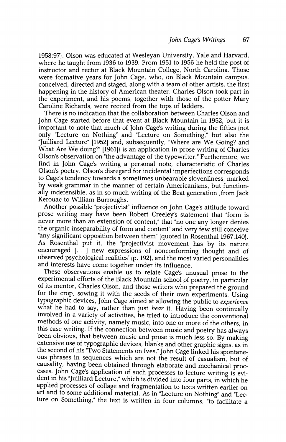**1958:97). Olson was educated at Wesleyan University, Yale and Harvard, where he taught from 1936 to 1939. From 1951 to 1956 he held the post of instructor and rector at Black Mountain College, North Carolina. Those were formative years for John Cage, who, on Black Mountain campus, conceived, directed and staged, along with a team of other artists, the first happening in the history of American theater. Charles Olson took part in the experiment, and his poems, together with those of the potter Mary Caroline Richards, were recited from the tops of ladders.** 

**There is no indication that the collaboration between Charles Olson and John Cage started before that event at Black Mountain in 1952, but it is important to n'ote that much of John Cage's writing during the fifties (not**  only "Lecture on Nothing" and "Lecture on Something," but also the **"Juilliard Lecture" [1952] and, subsequently, "Where are We Going? and What Are We doing?' [1961]) is an application in prose writing of Charles Olson's observation on "the advantage of the typewriter." Furthermore, we find in John Cage's writing a personal note, characteristic of Charles Olson's poetry. Olson's disregard for incidental imperfections corresponds to Cage's tendency towards a sometimes unbearable slovenliness, marked by weak grammar in the manner of certain Americanisms, but functionally indefensible, as in so much writing of the Beat generation ,from Jack Kerouac to William Burroughs.** 

**Another possible "projectivist" influence on John Cage's attitude toward prose writing may have been Robert Creeley's statement that "form is never more than an extension of content," that "no one any longer denies the organic inseparability of form and content" and very few still conceive "any significant opposition between them" (quoted in Rosenthal 1967:140). As Rosenthal put it, the "projectivist movement has by its nature encouraged [...] new expressions of nonconforming thought and of observed psychological realities" (p. 192), and the most varied personalities and interests have come together under its influence.** 

**These observations enable us to relate Cage's unusual prose to the**  of its mentor, Charles Olson, and those writers who prepared the ground<br>for the crop, sowing it with the seeds of their own experiments. Using<br>typographic devices, John Cage aimed at allowing the public to experience what he had to say, rather than just *hear* it. Having been continually involved in a variety of activities, he tried to introduce the conventional **methods of one activity, namely music, into one or more of the others, in**  been obvious, that between music and prose is much less so. By making<br>extensive use of typographic devices, blanks and other graphic signs, as in **the second of his "Two Statements on Ives," John Cage linked his spontaneous phrases in sequences which are not the result of casualism, but of causality, having been obtained through elaborate and mechanical processes. John Cage's application of such processes to lecture writing is evident in his "Juilliard Lecture," which is divided into four parts, in which he applied processes of collage and fragmentation to texts written earlier on art and to some additional material. As in "Lecture on Nothing" and "Lecture on Something," the text is written in four columns, "to facilitate a**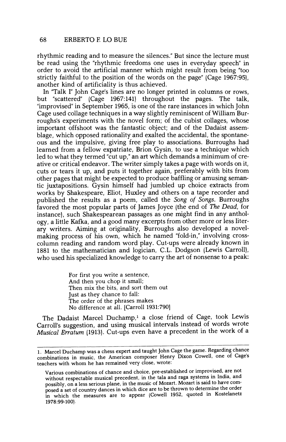**rhythmic reading and to measure the silences." But since the lecture must be read using the "rhythmic freedoms one uses in everyday speech" in order to avoid the artificial manner which might result from being "too strictly faithful to the position of the words on the page" (Cage 1967:95), another kind of artificiality is thus achieved.** 

**In "Talk I" John Cage's lines are no longer printed in columns or rows, but "scattered" (Cage 1967:141) throughout the pages. The talk, "improvised" in September 1965, is one of the rare instances in which John Cage used collage techniques in a way slightly reminiscent of William Burroughs's experiments with the novel form; of the cubist collages, whose important offshoot was the fantastic object; and of the Dadaist assemblage, which opposed rationality and exalted the accidental, the spontaneous and the impulsive, giving free play to associations. Burroughs had learned from a fellow expatriate, Brion Gysin, to use a technique which led to what they termed "cut up," an art which demands a minimum of creative or critical endeavor. The writer simply takes a page with words on it, cuts or tears it up, and puts it together again, preferably with bits from other pages that might be expected to produce baffling or amusing semantic juxtapositions. Gysin himself had jumbled up choice extracts from works by Shakespeare, Eliot, Huxley and others on a tape recorder and published the results as a poem, called the Song of Songs. Burroughs favored the most popular parts of James Joyce (the end of The Dead, for instance), such Shakespearean passages as one might find in any anthology, a little Kafka, and a good many excerpts from other more or less literary writers. Aiming at originality, Burroughs also developed a novelmaking process of his own, which he named "fold-in," involving crosscolumn reading and random word play. Cut-ups were already known in 1881 to the mathematician and logician, C.L. Dodgson (Lewis Carroll), who used his specialized knowledge to carry the art of nonsense to a peak:** 

> **For first you write a sentence, And then you chop it small; Then mix the bits, and sort them out Just as they chance to fall: The order of the phrases makes No difference at all. [Carroll 1931:790]**

**The Dadaist Marcel Duchamp,1 a close friend of Cage, took Lewis Carroll's suggestion, and using musical intervals instead of words wrote Musical Erratum (1913). Cut-ups even have a precedent in the work of a** 

**<sup>1.</sup> Marcel Duchamp was a chess expert and taught John Cage the game. Regarding chance combinations in music, the American composer Henry Dixon Cowell, one of Cage's teachers with whom he has remained very close, wrote:** 

**Various combinations of chance and choice, pre-established or improvised, are not without respectable musical precedent, in the tala and raga systems in India, and possibly, on a less serious plane, in the music of Mozart. Mozart is said to have composed a set of country dances in which dice are to be thrown to determine the order in which the measures are to appear (Cowell 1952, quoted in Kostelanetz 1978:99-100).**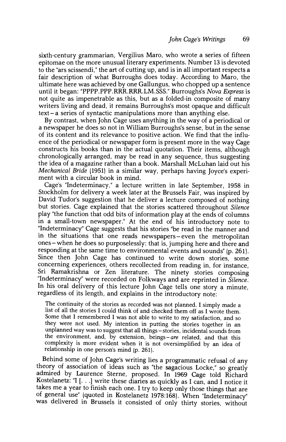**sixth-century grammarian, Vergilius Maro, who wrote a series of fifteen epitomae on the more unusual literary experiments. Number 13 is devoted to the "ars scissendi," the art of cutting up, and is in all important respects a fair description of what Burroughs does today. According to Maro, the ultimate here was achieved by one Gallungus, who chopped up a sentence until it began: "PPPP.PPP.RRR.RRR.LM.SSS." Burroughs's Nova Express is not quite as impenetrable as this, but as a folded-in composite of many writers living and dead, it remains Burroughs's most opaque and difficult text-a series of syntactic manipulations more than anything else.** 

**By contrast, when John Cage uses anything in the way of a periodical or a newspaper he does so not in William Burroughs's sense, but in the sense of its content and its relevance to positive action. We find that the influence of the periodical or newspaper form is present more in the way Cage constructs his books than in the actual quotation. Their items, although chronologically arranged, may be read in any sequence, thus suggesting the idea of a magazine rather than a book. Marshall McLuhan laid out his Mechanical Bride (1951) in a similar way, perhaps having Joyce's experiment with a circular book in mind.** 

**Cage's "Indeterminacy," a lecture written in late September, 1958 in Stockholm for delivery a week later at the Brussels Fair, was inspired by David Tudor's suggestion that he deliver a lecture composed of nothing but stories. Cage explained that the stories scattered throughout Silence play "the function that odd bits of information play at the ends of columns in a small-town newspaper." At the end of his introductory note to "Indeterminacy" Cage suggests that his stories "be read in the manner and in the situations that one reads newspapers-even the metropolitan ones- when he does so purposelessly: that is, jumping here and there and responding at the same time to environmental events and sounds" (p. 261). Since then John Cage has continued to write down stories, some concerning experiences, others recollected from reading in, for instance, Sri Ramakrishna or Zen literature. The ninety stories composing "Indeterminacy" were recorded on Folkways and are reprinted in Silence. In his oral delivery of this lecture John Cage tells one story a minute, regardless of its length, and explains in the introductory note:** 

**The continuity of the stories as recorded was not planned. I simply made a list of all the stories I could think of and checked them off as I wrote them. Some that I remembered I was not able to write to my satisfaction, and so they were not used. My intention in putting the stories together in an unplanned way was to suggest that all things - stories, incidental sounds from the environment, and, by extension, beings-are related, and that this complexity is more evident when it is not oversimplified by an idea of relationship in one person's mind (p. 261).** 

**Behind some of John Cage's writing lies a programmatic refusal of any**  admired by Laurence Sterne, proposed. In 1969 Cage told Richard **Kostelanetz: "I [.. .] write these diaries as quickly as I can, and I notice it**  takes me a year to finish each one. I try to keep only those things that are of general use" (quoted in Kostelanetz 1978:168). When "Indeterminacy" was delivered in Brussels it consisted of only thirty stories, without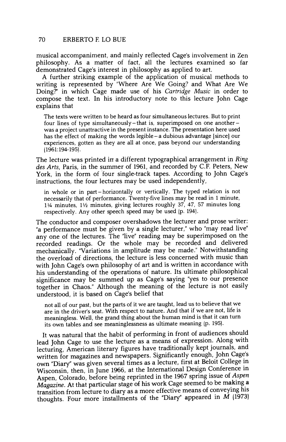**musical accompaniment, and mainly reflected Cage's involvement in Zen philosophy. As a matter of fact, all the lectures examined so far demonstrated Cage's interest in philosophy as applied to art.** 

**A further striking example of the application of musical methods to writing is represented by "Where Are We Going? and What Are We Doing?' in which Cage made use of his Cartridge Music in order to compose the text. In his introductory note to this lecture John Cage explains that** 

**The texts were written to be heard as four simultaneous lectures. But to print four lines of type simultaneously-that is, superimposed on one anotherwas a project unattractive in the present instance. The presentation here used has the effect of making the words legible -a dubious advantage [since] our experiences, gotten as they are all at once, pass beyond our understanding (1961:194-195).** 

**The lecture was printed in a different typographical arrangement in Ring des Arts, Paris, in the summer of 1961, and recorded by C.F. Peters, New York, in the form of four single-track tapes. According to John Cage's instructions, the four lectures may be used independently,** 

**in whole or in part-horizontally or vertically. The typed relation is not necessarily that of performance. Twenty-five lines may be read in 1 minute, 1/4 minutes, 1/2 minutes, giving lectures roughly 37, 47, 57 minutes long respectively. Any other speech speed may be used (p. 194).** 

**The conductor and composer overshadows the lecturer and prose writer: "a performance must be given by a single lecturer," who "may read live" any one of the lectures. The "live" reading may be superimposed on the recorded readings. Or the whole may be recorded and delivered mechanically. "Variations in amplitude may be made." Notwithstanding the overload of directions, the lecture is less concerned with music than with John Cage's own philosophy of art and is written in accordance with his understanding of the operations of nature. Its ultimate philosophical significance may be summed up as Cage's saying "yes to our presence together in Chaos." Although the meaning of the lecture is not easily understood, it is based on Cage's belief that** 

**not all of our past, but the parts of it we are taught, lead us to believe that we are in the driver's seat. With respect to nature. And that if we are not, life is meaningless. Well, the grand thing about the human mind is that it can turn its own tables and see meaninglessness as ultimate meaning (p. 195).** 

**It was natural that the habit of performing in front of audiences should lead John Cage to use the lecture as a means of expression. Along with lecturing, American literary figures have traditionally kept journals, and written for magazines and newspapers. Significantly enough, John Cage's own "Diary" was given several times as a lecture, first at Beloit College in Wisconsin, then, in June 1966, at the International Design Conference in Aspen, Colorado, before being reprinted in the 1967 spring issue of Aspen Magazine. At that particular stage of his work Cage seemed to be making a transition from lecture to diary as a more effective means of conveying his thoughts. Four more installments of the "Diary" appeared in M (1973)**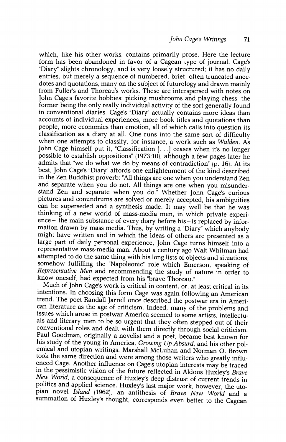**which, like his other works, contains primarily prose. Here the lecture form has been abandoned in favor of a Cagean type of journal. Cage's "Diary" slights chronology, and is very loosely structured; it has no daily entries, but merely a sequence of numbered, brief, often truncated anecdotes and quotations, many on the subject of futurology and drawn mainly from Fuller's and Thoreau's works. These are interspersed with notes on John Cage's favorite hobbies: picking mushrooms and playing chess, the former being the only really individual activity of the sort generally found in conventional diaries. Cage's "Diary" actually contains more ideas than accounts of individual experiences, more book titles and quotations than people, more economics than emotion, all of which calls into question its classification as a diary at all. One runs into the same sort of difficulty when one attempts to classify, for instance, a work such as Walden. As John Cage himself put it, "Classification [...] ceases when it's no longer possible to establish oppositions" (1973:10), although a few pages later he admits that "we do what we do by means of contradiction" (p. 16). At its best, John Cage's "Diary" affords one enlightenment of the kind described in the Zen Buddhist proverb: "All things are one when you understand Zen and separate when you do not. All things are one when you misunderstand Zen and separate when you do." Whether John Cage's curious pictures and conundrums are solved or merely accepted, his ambiguities can be superseded and a synthesis made. It may well be that he was thinking of a new world of mass-media men, in which private experience- the main substance of every diary before his-is replaced by information drawn by mass media. Thus, by writing a "Diary" which anybody might have written and in which the ideas of others are presented as a large part of daily personal experience, John Cage turns himself into a representative mass-media man. About a century ago Walt Whitman had attempted to do the same thing with his long lists of objects and situations, somehow fulfilling the "Napoleonic" role which Emerson, speaking of Representative Men and recommending the study of nature in order to know oneself, had expected from his "brave Thoreau."** 

**Much of John Cage's work is critical in content, or, at least critical in its intentions. In choosing this form Cage was again following an American trend. The poet Randall Jarrell once described the postwar era in American literature as the age of criticism. Indeed, many of the problems and issues which arose in postwar America seemed to some artists, intellectuals and literary men to be so urgent that they often stepped out of their conventional roles and dealt with them directly through social criticism.**  Paul Goodman, originally a novelist and a poet, became best known for his study of the young in America, Growing Up Absurd, and his other polemical and utopian writings. Marshall McLuhan and Norman O. Brown **took the same direction and were among those writers who greatly influ**in the pessimistic vision of the future reflected in Aldous Huxley's Brave<br>New World, a consequence of Huxley's deep distrust of current trends in **politics and applied science. Huxley's last major work, however, the utopian novel Island (1962), an antithesis of Brave New World and a summation of Huxley's thought, corresponds even better to the Cagean**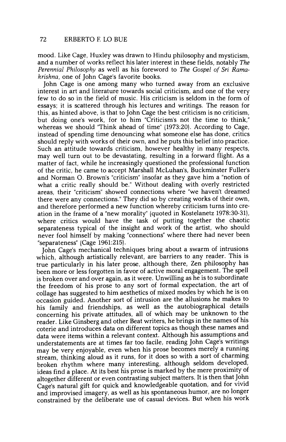**mood. Like Cage, Huxley was drawn to Hindu philosophy and mysticism, and a number of works reflect his later interest in these fields, notably The Perennial Philosophy as well as his foreword to The Gospel of Sri Ramakrishna, one of John Cage's favorite books.** 

**John Cage is one among many who turned away from an exclusive interest in art and literature towards social criticism, and one of the very few to do so in the field of music. His criticism is seldom in the form of essays; it is scattered through his lectures and writings. The reason for this, as hinted above, is that to John Cage the best criticism is no criticism, but doing one's work, for to him "Criticism's not the time to think," whereas we should "Think ahead of time" (1973:20). According to Cage, instead of spending time denouncing what someone else has done, critics should reply with works of their own, and he puts this belief into practice. Such an attitude towards criticism, however healthy in many respects, may well turn out to be devastating, resulting in a forward flight. As a matter of fact, while he increasingly questioned the professional function of the critic, he came to accept Marshall McLuhan's, Buckminster Fuller's and Norman O. Brown's "criticism" insofar as they gave him a "notion of what a critic really should be." Without dealing with overly restricted areas, their "criticism" showed connections where "we haven't dreamed there were any connections." They did so by creating works of their own, and therefore performed a new function whereby criticism turns into creation in the frame of a "new morality" (quoted in Kostelanetz 1978:30-31), where critics would have the task of putting together the chaotic separateness typical of the insight and work of the artist, who should never fool himself by making "connections" where there had never been "separateness" (Cage 1961:215).** 

**John Cage's mechanical techniques bring about a swarm of intrusions which, although artistically relevant, are barriers to any reader. This is true particularly in his later prose, although there, Zen philosophy has been more or less forgotten in favor of active moral engagement. The spell is broken over and over again, as it were. Unwilling as he is to subordinate the freedom of his prose to any sort of formal expectation, the art of collage has suggested to him aesthetics of mixed modes by which he is on occasion guided. Another sort of intrusion are the allusions he makes to his family and friendships, as well as the autobiographical details concerning his private attitudes, all of which may be unknown to the reader. Like Ginsberg and other Beat writers, he brings in the names of his coterie and introduces data on different topics as though these names and data were items within a relevant context. Although his assumptions and understatements are at times far too facile, reading John Cage's writings may be very enjoyable, even when his prose becomes merely a running stream, thinking aloud as it runs, for it does so with a sort of charming broken rhythm where many interesting, although seldom developed, ideas find a place. At its best his prose is marked by the mere proximity of altogether different or even contrasting subject matters. It is then that John Cage's natural gift for quick and knowledgeable quotation, and for vivid and improvised imagery, as well as his spontaneous humor, are no longer constrained by the deliberate use of casual devices. But when his work**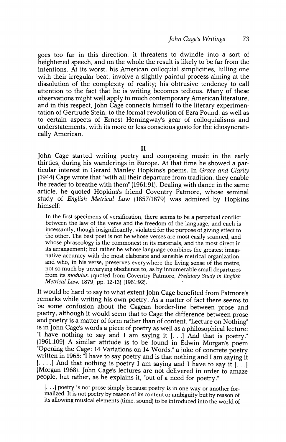**goes too far in this direction, it threatens to dwindle into a sort of heightened speech, and on the whole the result is likely to be far from the intentions. At its worst, his American colloquial simplicities, lulling one with their irregular beat, involve a slightly painful process aiming at the dissolution of the complexity of reality; his obtrusive tendency to call attention to the fact that he is writing becomes tedious. Many of these observations might well apply to much contemporary American literature, and in this respect, John Cage connects himself to the literary experimentation of Gertrude Stein, to the formal revolution of Ezra Pound, as well as to certain aspects of Ernest Hemingway's gear of colloquialisms and understatements, with its more or less conscious gusto for the idiosyncratically American.** 

**II** 

**John Cage started writing poetry and composing music in the early thirties, during his wanderings in Europe. At that time he showed a particular interest in Gerard Manley Hopkins's poems. In Grace and Clarity (1944) Cage wrote that "with all their departure from tradition, they enable the reader to breathe with them" (1961:91). Dealing with dance in the same article, he quoted Hopkins's friend Coventry Patmore, whose seminal study of English Metrical Law (1857/1879) was admired by Hopkins himself:** 

**In the first specimens of versification, there seems to be a perpetual conflict between the law of the verse and the freedom of the language, and each is incessantly, though insignificantly, violated for the purpose of giving effect to the other. The best poet is not he whose verses are most easily scanned, and whose phraseology is the commonest in its materials, and the most direct in**  native accuracy with the most elaborate and sensible metrical organization, and who, in his verse, preserves everywhere the living sense of the metre, **not so much by unvarying obedience to, as by innumerable small departures from its modulus. (quoted from Coventry Patmore, Prefatory Study in English Metrical Law, 1879, pp. 12-13) (1961:92).** 

**It would be hard to say to what extent John Cage benefited from Patmore's remarks while writing his own poetry. As a matter of fact there seems to be some confusion about the Cagean border-line between prose and**  and poetry is a matter of form rather than of content. "Lecture on Nothing" is in John Cage's words a piece of poetry as well as a philosophical lecture: **"I have nothing to say and I am saying it [...] And that is poetry." (1961:109) A similar attitude is to be found in Edwin Morgan's poem**  written in 1965: <sup>"</sup>I have to say poetry and is that nothing and I am saying it **[....] And that nothing is poetry I am saying and I have to say it [...] (Morgan 1968). John Cage's lectures are not delivered in order to amaze people, but rather, as he explains it, "out of a need for poetry."** 

**[. ..] poetry is not prose simply because poetry is in one way or another formalized. It is not poetry by reason of its content or ambiguity but by reason of its allowing musical elements (time, sound) to be introduced into the world of**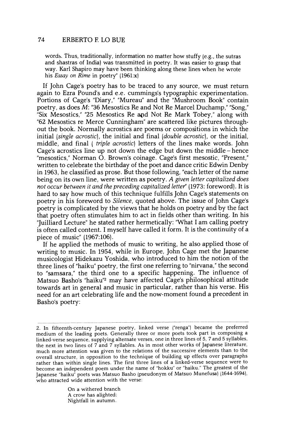## **74 ERBERTO F LO BUE**

**words. Thus, traditionally, information no matter how stuffy (e.g., the sutras and shastras of India) was transmitted in poetry. It was easier to grasp that way. Karl Shapiro may have been thinking along these lines when he wrote his Essay on Rime in poetry" (1961:x)** 

**If John Cage's poetry has to be traced to any source, we must return again to Ezra Pound's and e.e. cummings's typographic experimentation. Portions of Cage's "Diary," "Mureau" and the "Mushroom Book" contain poetry, as does M: "36 Mesostics Re and Not Re Marcel Duchamp," "Song,"**  "Six Mesostics," "25 Mesostics Re and Not Re Mark Tobey," along with **"62 Mesostics re Merce Cunningham" are scattered like pictures throughout the book. Normally acrostics are poems or compositions in which the initial (single acrostic), the initial and final (double acrostic), or the initial, middle, and final ( triple acrostic) letters of the lines make words. John Cage's acrostics line up not down the edge but down the middle- hence "mesostics," Norman O. Brown's coinage. Cage's first mesostic, "Present," written to celebrate the birthday of the poet and dance critic Edwin Denby in 1963, he classified as prose. But those following, "each letter of the name being on its own line, were written as poetry. A given letter capitalized does not occur between it and the preceding capitalized letter" (1973: foreword). It is hard to say how much of this technique fulfills John Cage's statements on poetry in his foreword to Silence, quoted above. The issue of John Cage's poetry is complicated by the views that he holds on poetry and by the fact that poetry often stimulates him to act in fields other than writing. In his "Juilliard Lecture" he stated rather hermetically: "What I am calling poetry is often called content. I myself have called it form. It is the continuity of a piece of music" (1967:106).** 

**If he applied the methods of music to writing, he also applied those of writing to music. In 1954, while in Europe, John Cage met the Japanese musicologist Hidekazu Yoshida, who introduced to him the notion of the three lines of "haiku" poetry, the first one referring to "nirvana," the second to "samsara," the third one to a specific happening. The influence of Matsuo Basho's "haiku"2 may have affected Cage's philosophical attitude towards art in general and music in particular, rather than his verse. His need for an art celebrating life and the now-moment found a precedent in Basho's poetry:** 

**On a withered branch A crow has alighted: Nightfall in autumn.** 

**<sup>2.</sup> In fifteenth-century Japanese poetry, linked verse ("renga") became the preferred medium of the leading poets. Generally three or more poets took part in composing a linked-verse sequence, supplying alternate verses, one in three lines of 5, 7 and 5 syllables, the next in two lines of 7 and 7 syllables. As in most other works of Japanese literature, much more attention was given to the relations of the successive elements than to the overall structure, in opposition to the technique of building up effects over paragraphs rather than within single lines. The first three lines of a linked-verse sequence were to become an independent poem under the name of "hokku" or "haiku." The greatest of the Japanese "haiku" poets was Matsuo Basho (pseudonym of Matsuo Munefusa) (1644-1694), who attracted wide attention with the verse:**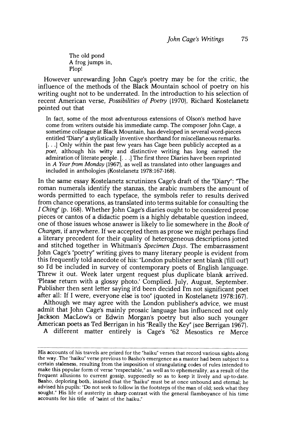**The old pond A frog jumps in, Plop!** 

**However unrewarding John Cage's poetry may be for the critic, the influence of the methods of the Black Mountain school of poetry on his writing ought not to be underrated. In the introduction to his selection of recent American verse, Possibilities of Poetry (1970), Richard Kostelanetz pointed out that** 

**In fact, some of the most adventurous extensions of Olson's method have come from writers outside his immediate camp. The composer John Cage, a sometime colleague at Black Mountain, has developed in several word-pieces entitled "Diary" a stylistically inventive shorthand for miscellaneous remarks. [.. .] Only within the past few years has Cage been publicly accepted as a poet, although his witty and distinctive writing has long earned the admiration of literate people. [. ..] The first three Diaries have been reprinted in A Year from Monday (1967), as well as translated into other languages and included in anthologies (Kostelanetz 1978:167-168).** 

**In the same essay Kostelanetz scrutinizes Cage's draft of the "Diary": "The roman numerals identify the stanzas, the arabic numbers the amount of words permitted to each typeface, the symbols refer to results derived from chance operations, as translated into terms suitable for consulting the I Ching" (p. 168). Whether John Cage's diaries ought to be considered prose pieces or cantos of a didactic poem is a highly debatable question indeed, one of those issues whose answer is likely to lie somewhere in the Book of Changes, if anywhere. If we accepted them as prose we might perhaps find a literary precedent for their quality of heterogeneous descriptions jotted and stitched together in Whitman's Specimen Days. The embarrassment John Cage's "poetry" writing gives to many literary people is evident from this frequently told anecdote of his: "London publisher sent blank ('fill out') so I'd be included in survey of contemporary poets of English language. Threw it out. Week later urgent request plus duplicate blank arrived.**  'Please return with a glossy photo.' Complied. July, August, September. **Publisher then sent letter saying it'd been decided I'm not significant poet after all: If I were, everyone else is too" (quoted in Kostelanetz 1978:167).** 

**Although we may agree with the London publisher's advice, we must admit that John Cage's mainly prosaic language has influenced not only**  American poets as Ted Berrigan in his "Really the Key" (see Berrigan 1967).<br>A different matter entirely is Cage's "62 Mesostics re Merce

**His accounts of his travels are prized for the "haiku" verses that record various sights along the way. The "haiku" verse previous to Basho's emergence as a master had been subject to a certain staleness, resulting from the imposition of strangulating codes of rules intended to make this popular form of verse "respectable," as well as to ephemerality, as a result of the frequent allusions to current gossip, supposedly so as to keep it lively and up-to-date. Basho, deploring both, insisted that the "haiku" must be at once unbound and eternal; he advised his pupils: "Do not seek to follow in the footsteps of the man of old; seek what they sought." His life of austerity in sharp contrast with the general flamboyance of his time accounts for his title of "saint of the haiku."**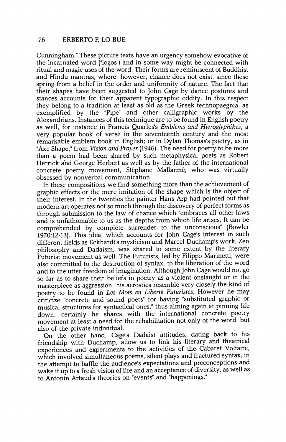**Cunningham." These picture texts have an urgency somehow evocative of the incarnated word ("logos") and in some way might be connected with ritual and magic uses of the word. Their forms are reminiscent of Buddhist and Hindu mantras, where, however, chance does not exist, since these spring from a belief in the order and uniformity of nature. The fact that their shapes have been suggested to John Cage by dance postures and stances accounts for their apparent typographic oddity. In this respect they belong to a tradition at least as old as the Greek technopaegnia, as exemplified by the "Pipe" and other calligraphic works by the Alexandrians. Instances of this technique are to be found in English poetry as well, for instance in Francis Quarles's Emblems and Hieroglyphikes, a very popular book of verse in the seventeenth century and the most remarkable emblem book in English; or in Dylan Thomas's poetry, as in "Axe Shape," from Vision and Prayer (1946). The need for poetry to be more than a poem had been shared by such metaphysical poets as Robert Herrick and George Herbert as well as by the father of the international concrete poetry movement, Stephane Mallarme, who was virtually obsessed by nonverbal communication.** 

**In these compositions we find something more than the achievement of graphic effects or the mere imitation of the shape which is the object of their interest. In the twenties the painter Hans Arp had pointed out that modern art operates not so much through the discovery of perfect forms as through submission to the law of chance which "embraces all other laws and is unfathomable to us as the depths from which life arises. It can be comprehended by complete surrender to the unconscious" (Bowler 1970:12-13). This idea, which accounts for John Cage's interest in such different fields as Eckhardt's mysticism and Marcel Duchamp's work, Zen philosophy and Dadaism, was shared to some extent by the literary Futurist movement as well. The Futurists, led by Filippo Marinetti, were also committed to the destruction of syntax, to the liberation of the word and to the utter freedom of imagination. Although John Cage would not go so far as to share their beliefs in poetry as a violent onslaught or in the masterpiece as aggression, his acrostics resemble very closely the kind of poetry to be found in Les Mots en Liberte Futuristes. However he may criticize "concrete and sound poets" for having "substituted graphic or musical structures for syntactical ones," thus aiming again at pinning life down, certainly he shares with the international concrete poetry movement at least a need for the rehabilitation not only of the word, but also of the private individual.** 

**On the other hand, Cage's Dadaist attitudes, dating back to his friendship with Duchamp, allow us to link his literary and theatrical experiences and experiments to the activities of the Cabaret Voltaire, which involved simultaneous poems, silent plays and fractured syntax, in the attempt to baffle the audience's expectations and preconceptions and wake it up to a fresh vision of life and an acceptance of diversity, as well as to Antonin Artaud's theories on "events" and "happenings."**